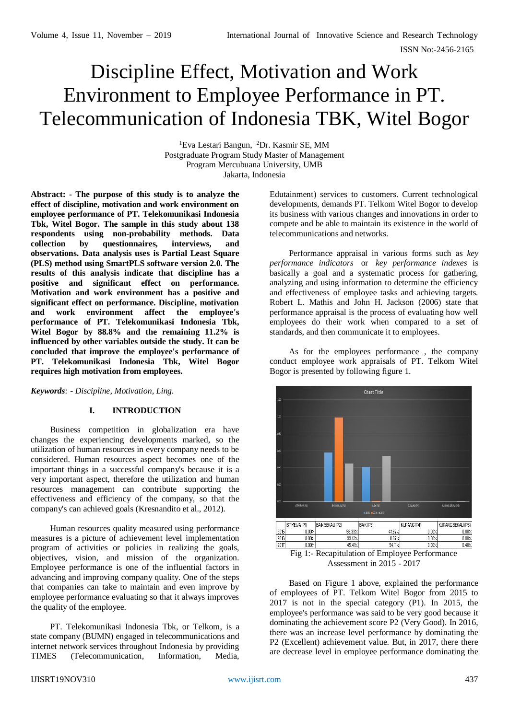# Discipline Effect, Motivation and Work Environment to Employee Performance in PT. Telecommunication of Indonesia TBK, Witel Bogor

<sup>1</sup>Eva Lestari Bangun, <sup>2</sup>Dr. Kasmir SE, MM Postgraduate Program Study Master of Management Program Mercubuana University, UMB Jakarta, Indonesia

**Abstract: - The purpose of this study is to analyze the effect of discipline, motivation and work environment on employee performance of PT. Telekomunikasi Indonesia Tbk, Witel Bogor. The sample in this study about 138 respondents using non-probability methods. Data collection by questionnaires, interviews, and observations. Data analysis uses is Partial Least Square (PLS) method using SmartPLS software version 2.0. The results of this analysis indicate that discipline has a positive and significant effect on performance. Motivation and work environment has a positive and significant effect on performance. Discipline, motivation and work environment affect the employee's performance of PT. Telekomunikasi Indonesia Tbk, Witel Bogor by 88.8% and the remaining 11.2% is influenced by other variables outside the study. It can be concluded that improve the employee's performance of PT. Telekomunikasi Indonesia Tbk, Witel Bogor requires high motivation from employees.**

*Keywords: - Discipline, Motivation, Ling.*

## **I. INTRODUCTION**

Business competition in globalization era have changes the experiencing developments marked, so the utilization of human resources in every company needs to be considered. Human resources aspect becomes one of the important things in a successful company's because it is a very important aspect, therefore the utilization and human resources management can contribute supporting the effectiveness and efficiency of the company, so that the company's can achieved goals (Kresnandito et al., 2012).

Human resources quality measured using performance measures is a picture of achievement level implementation program of activities or policies in realizing the goals, objectives, vision, and mission of the organization. Employee performance is one of the influential factors in advancing and improving company quality. One of the steps that companies can take to maintain and even improve by employee performance evaluating so that it always improves the quality of the employee.

PT. Telekomunikasi Indonesia Tbk, or Telkom, is a state company (BUMN) engaged in telecommunications and internet network services throughout Indonesia by providing TIMES (Telecommunication, Information, Media,

Edutainment) services to customers. Current technological developments, demands PT. Telkom Witel Bogor to develop its business with various changes and innovations in order to compete and be able to maintain its existence in the world of telecommunications and networks.

Performance appraisal in various forms such as *key performance indicators* or *key performance indexes* is basically a goal and a systematic process for gathering, analyzing and using information to determine the efficiency and effectiveness of employee tasks and achieving targets. Robert L. Mathis and John H. Jackson (2006) state that performance appraisal is the process of evaluating how well employees do their work when compared to a set of standards, and then communicate it to employees.

As for the employees performance , the company conduct employee work appraisals of PT. Telkom Witel Bogor is presented by following figure 1.



Assessment in 2015 - 2017

Based on Figure 1 above, explained the performance of employees of PT. Telkom Witel Bogor from 2015 to 2017 is not in the special category (P1). In 2015, the employee's performance was said to be very good because it dominating the achievement score P2 (Very Good). In 2016, there was an increase level performance by dominating the P2 (Excellent) achievement value. But, in 2017, there there are decrease level in employee performance dominating the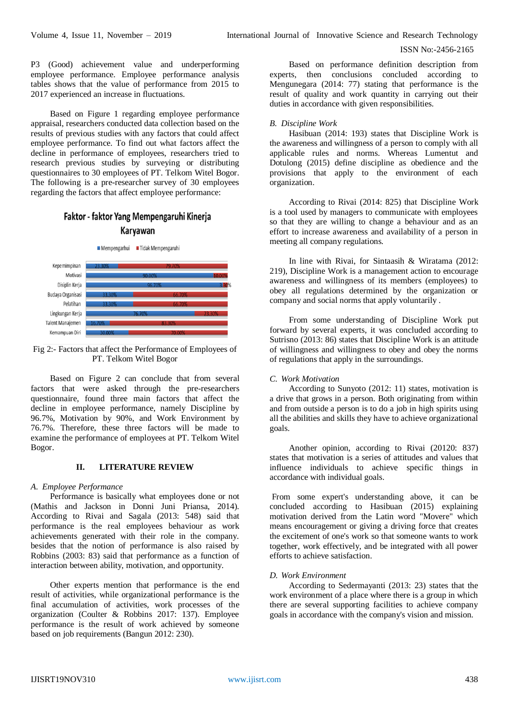P3 (Good) achievement value and underperforming employee performance. Employee performance analysis tables shows that the value of performance from 2015 to 2017 experienced an increase in fluctuations.

Based on Figure 1 regarding employee performance appraisal, researchers conducted data collection based on the results of previous studies with any factors that could affect employee performance. To find out what factors affect the decline in performance of employees, researchers tried to research previous studies by surveying or distributing questionnaires to 30 employees of PT. Telkom Witel Bogor. The following is a pre-researcher survey of 30 employees regarding the factors that affect employee performance:

## Faktor - faktor Yang Mempengaruhi Kinerja Karyawan



Fig 2:- Factors that affect the Performance of Employees of PT. Telkom Witel Bogor

Based on Figure 2 can conclude that from several factors that were asked through the pre-researchers questionnaire, found three main factors that affect the decline in employee performance, namely Discipline by 96.7%, Motivation by 90%, and Work Environment by 76.7%. Therefore, these three factors will be made to examine the performance of employees at PT. Telkom Witel Bogor.

#### **II. LITERATURE REVIEW**

#### *A. Employee Performance*

Performance is basically what employees done or not (Mathis and Jackson in Donni Juni Priansa, 2014). According to Rivai and Sagala (2013: 548) said that performance is the real employees behaviour as work achievements generated with their role in the company. besides that the notion of performance is also raised by Robbins (2003: 83) said that performance as a function of interaction between ability, motivation, and opportunity.

Other experts mention that performance is the end result of activities, while organizational performance is the final accumulation of activities, work processes of the organization (Coulter & Robbins 2017: 137). Employee performance is the result of work achieved by someone based on job requirements (Bangun 2012: 230).

Based on performance definition description from experts, then conclusions concluded according to Mengunegara (2014: 77) stating that performance is the result of quality and work quantity in carrying out their duties in accordance with given responsibilities.

#### *B. Discipline Work*

Hasibuan (2014: 193) states that Discipline Work is the awareness and willingness of a person to comply with all applicable rules and norms. Whereas Lumentut and Dotulong (2015) define discipline as obedience and the provisions that apply to the environment of each organization.

According to Rivai (2014: 825) that Discipline Work is a tool used by managers to communicate with employees so that they are willing to change a behaviour and as an effort to increase awareness and availability of a person in meeting all company regulations.

In line with Rivai, for Sintaasih & Wiratama (2012: 219), Discipline Work is a management action to encourage awareness and willingness of its members (employees) to obey all regulations determined by the organization or company and social norms that apply voluntarily .

From some understanding of Discipline Work put forward by several experts, it was concluded according to Sutrisno (2013: 86) states that Discipline Work is an attitude of willingness and willingness to obey and obey the norms of regulations that apply in the surroundings.

#### *C. Work Motivation*

According to Sunyoto (2012: 11) states, motivation is a drive that grows in a person. Both originating from within and from outside a person is to do a job in high spirits using all the abilities and skills they have to achieve organizational goals.

Another opinion, according to Rivai (20120: 837) states that motivation is a series of attitudes and values that influence individuals to achieve specific things in accordance with individual goals.

From some expert's understanding above, it can be concluded according to Hasibuan (2015) explaining motivation derived from the Latin word "Movere" which means encouragement or giving a driving force that creates the excitement of one's work so that someone wants to work together, work effectively, and be integrated with all power efforts to achieve satisfaction.

## *D. Work Environment*

According to Sedermayanti (2013: 23) states that the work environment of a place where there is a group in which there are several supporting facilities to achieve company goals in accordance with the company's vision and mission.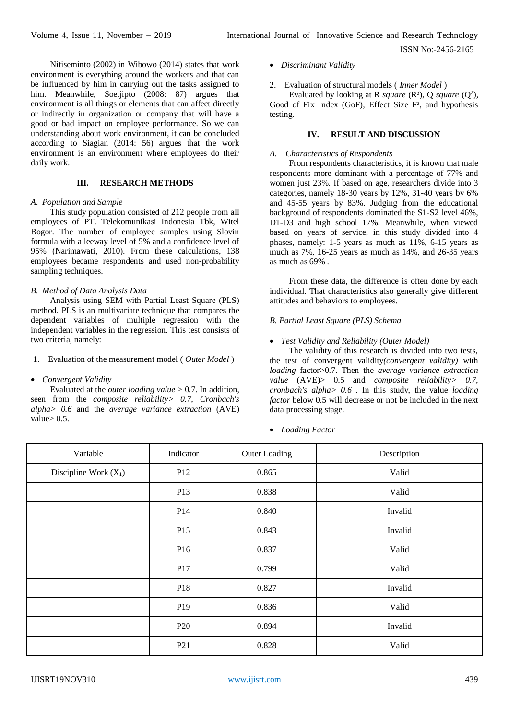Nitiseminto (2002) in Wibowo (2014) states that work environment is everything around the workers and that can be influenced by him in carrying out the tasks assigned to him. Meanwhile, Soetjipto (2008: 87) argues that environment is all things or elements that can affect directly or indirectly in organization or company that will have a good or bad impact on employee performance. So we can understanding about work environment, it can be concluded according to Siagian (2014: 56) argues that the work environment is an environment where employees do their daily work.

## **III. RESEARCH METHODS**

#### *A. Population and Sample*

This study population consisted of 212 people from all employees of PT. Telekomunikasi Indonesia Tbk, Witel Bogor. The number of employee samples using Slovin formula with a leeway level of 5% and a confidence level of 95% (Narimawati, 2010). From these calculations, 138 employees became respondents and used non-probability sampling techniques.

#### *B. Method of Data Analysis Data*

Analysis using SEM with Partial Least Square (PLS) method. PLS is an multivariate technique that compares the dependent variables of multiple regression with the independent variables in the regression. This test consists of two criteria, namely:

## 1. Evaluation of the measurement model ( *Outer Model* )

#### *Convergent Validity*

Evaluated at the *outer loading value* > 0.7. In addition, seen from the *composite reliability> 0.7, Cronbach's alpha> 0.6* and the *average variance extraction* (AVE) value $> 0.5$ .

- *Discriminant Validity*
- 2. Evaluation of structural models ( *Inner Model* )

Evaluated by looking at R *square* ( $\mathbb{R}^2$ ), Q *square* ( $\mathbb{Q}^2$ ), Good of Fix Index (GoF)*,* Effect Size F², and hypothesis testing.

#### **IV. RESULT AND DISCUSSION**

#### *A. Characteristics of Respondents*

From respondents characteristics, it is known that male respondents more dominant with a percentage of 77% and women just 23%. If based on age, researchers divide into 3 categories, namely 18-30 years by 12%, 31-40 years by 6% and 45-55 years by 83%. Judging from the educational background of respondents dominated the S1-S2 level 46%, D1-D3 and high school 17%. Meanwhile, when viewed based on years of service, in this study divided into 4 phases, namely: 1-5 years as much as 11%, 6-15 years as much as 7%, 16-25 years as much as 14%, and 26-35 years as much as 69% .

From these data, the difference is often done by each individual. That characteristics also generally give different attitudes and behaviors to employees.

#### *B. Partial Least Square (PLS) Schema*

#### *Test Validity and Reliability (Outer Model)*

The validity of this research is divided into two tests, the test of convergent validity*(convergent validity)* with *loading* factor>0.7. Then the *average variance extraction value* (AVE)> 0.5 and *composite reliability> 0.7, cronbach's alpha> 0.6* . In this study, the value *loading factor* below 0.5 will decrease or not be included in the next data processing stage.

*Loading Factor*

| Variable                | Indicator       | Outer Loading | Description |
|-------------------------|-----------------|---------------|-------------|
| Discipline Work $(X_1)$ | P12             | 0.865         | Valid       |
|                         | P13             | 0.838         | Valid       |
|                         | P14             | 0.840         | Invalid     |
|                         | P15             | 0.843         | Invalid     |
|                         | P16             | 0.837         | Valid       |
|                         | P17             | 0.799         | Valid       |
|                         | P18             | 0.827         | Invalid     |
|                         | P <sub>19</sub> | 0.836         | Valid       |
|                         | P <sub>20</sub> | 0.894         | Invalid     |
|                         | P <sub>21</sub> | 0.828         | Valid       |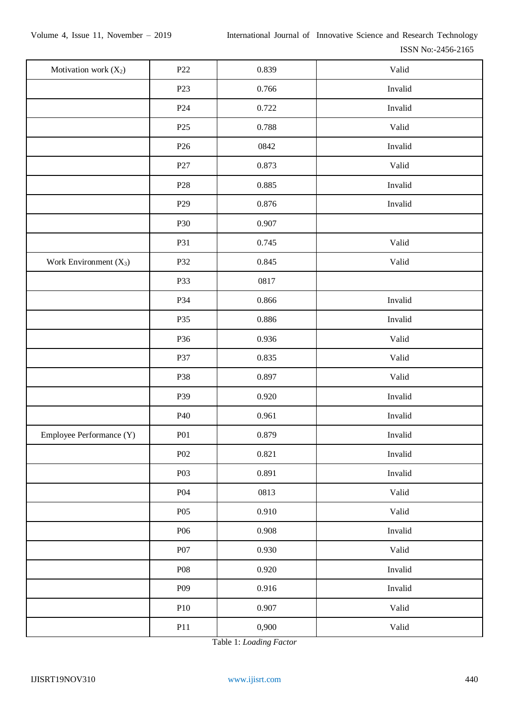| Motivation work $(X_2)$  | P <sub>22</sub>  | 0.839 | Valid   |
|--------------------------|------------------|-------|---------|
|                          | P <sub>23</sub>  | 0.766 | Invalid |
|                          | P <sub>24</sub>  | 0.722 | Invalid |
|                          | P25              | 0.788 | Valid   |
|                          | P <sub>26</sub>  | 0842  | Invalid |
|                          | P27              | 0.873 | Valid   |
|                          | P <sub>28</sub>  | 0.885 | Invalid |
|                          | P <sub>29</sub>  | 0.876 | Invalid |
|                          | P30              | 0.907 |         |
|                          | P31              | 0.745 | Valid   |
| Work Environment $(X_3)$ | P32              | 0.845 | Valid   |
|                          | P33              | 0817  |         |
|                          | P34              | 0.866 | Invalid |
|                          | P35              | 0.886 | Invalid |
|                          | P36              | 0.936 | Valid   |
|                          | P37              | 0.835 | Valid   |
|                          | P38              | 0.897 | Valid   |
|                          | P39              | 0.920 | Invalid |
|                          | P40              | 0.961 | Invalid |
| Employee Performance (Y) | P <sub>01</sub>  | 0.879 | Invalid |
|                          | P <sub>02</sub>  | 0.821 | Invalid |
|                          | P <sub>0</sub> 3 | 0.891 | Invalid |
|                          | P <sub>04</sub>  | 0813  | Valid   |
|                          | P05              | 0.910 | Valid   |
|                          | P06              | 0.908 | Invalid |
|                          | P07              | 0.930 | Valid   |
|                          | <b>P08</b>       | 0.920 | Invalid |
|                          | P <sub>09</sub>  | 0.916 | Invalid |
|                          | P10              | 0.907 | Valid   |
|                          | P11              | 0,900 | Valid   |

Table 1: *Loading Factor*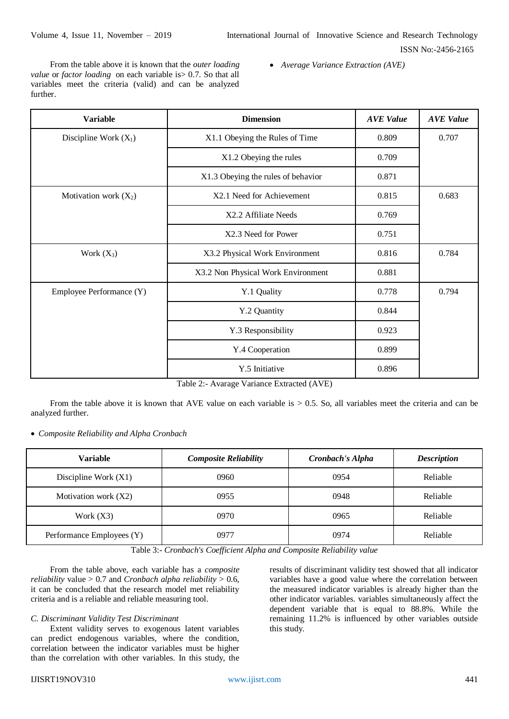From the table above it is known that the *outer loading value* or *factor loading* on each variable is> 0.7. So that all variables meet the criteria (valid) and can be analyzed further.

*Average Variance Extraction (AVE)*

| <b>Variable</b>          | <b>Dimension</b>                   | <b>AVE Value</b> | <b>AVE Value</b> |
|--------------------------|------------------------------------|------------------|------------------|
| Discipline Work $(X_1)$  | X1.1 Obeying the Rules of Time     | 0.809            | 0.707            |
|                          | X1.2 Obeying the rules             | 0.709            |                  |
|                          | X1.3 Obeying the rules of behavior | 0.871            |                  |
| Motivation work $(X_2)$  | X2.1 Need for Achievement          | 0.815            | 0.683            |
|                          | X2.2 Affiliate Needs               | 0.769            |                  |
|                          | X2.3 Need for Power                | 0.751            |                  |
| Work $(X_3)$             | X3.2 Physical Work Environment     | 0.816            | 0.784            |
|                          | X3.2 Non Physical Work Environment | 0.881            |                  |
| Employee Performance (Y) | Y.1 Quality                        | 0.778            | 0.794            |
|                          | Y.2 Quantity                       | 0.844            |                  |
|                          | Y.3 Responsibility                 | 0.923            |                  |
|                          | Y.4 Cooperation                    | 0.899            |                  |
|                          | Y.5 Initiative                     | 0.896            |                  |

Table 2:- Avarage Variance Extracted (AVE)

From the table above it is known that AVE value on each variable is  $> 0.5$ . So, all variables meet the criteria and can be analyzed further.

*Composite Reliability and Alpha Cronbach*

| <b>Variable</b>           | <b>Composite Reliability</b> | Cronbach's Alpha | <b>Description</b> |
|---------------------------|------------------------------|------------------|--------------------|
| Discipline Work $(X1)$    | 0960                         | 0954             | Reliable           |
| Motivation work (X2)      | 0955                         | 0948             | Reliable           |
| Work $(X3)$               | 0970                         | 0965             | Reliable           |
| Performance Employees (Y) | 0977                         | 0974             | Reliable           |

Table 3:- *Cronbach's Coefficient Alpha and Composite Reliability value*

From the table above, each variable has a *composite reliability* value  $> 0.7$  and *Cronbach alpha reliability*  $> 0.6$ , it can be concluded that the research model met reliability criteria and is a reliable and reliable measuring tool.

#### *C. Discriminant Validity Test Discriminant*

Extent validity serves to exogenous latent variables can predict endogenous variables, where the condition, correlation between the indicator variables must be higher than the correlation with other variables. In this study, the results of discriminant validity test showed that all indicator variables have a good value where the correlation between the measured indicator variables is already higher than the other indicator variables. variables simultaneously affect the dependent variable that is equal to 88.8%. While the remaining 11.2% is influenced by other variables outside this study.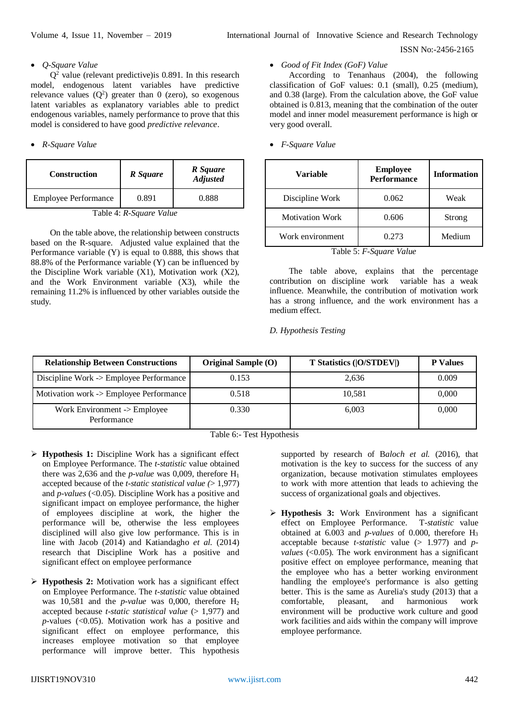## *Q-Square Value*

 $Q<sup>2</sup>$  value (relevant predictive) is 0.891. In this research model, endogenous latent variables have predictive relevance values  $(Q^2)$  greater than 0 (zero), so exogenous latent variables as explanatory variables able to predict endogenous variables, namely performance to prove that this model is considered to have good *predictive relevance*.

## *R-Square Value*

| <b>Construction</b>         | R Square | R Square<br><b>Adjusted</b> |  |
|-----------------------------|----------|-----------------------------|--|
| <b>Employee Performance</b> | 0.891    | 0.888                       |  |
| m 11 <i>1</i> n a           |          |                             |  |

Table 4: *R-Square Value*

On the table above, the relationship between constructs based on the R-square. Adjusted value explained that the Performance variable (Y) is equal to 0.888, this shows that 88.8% of the Performance variable (Y) can be influenced by the Discipline Work variable (X1), Motivation work (X2), and the Work Environment variable (X3), while the remaining 11.2% is influenced by other variables outside the study.

## *Good of Fit Index (GoF) Value*

According to Tenanhaus (2004), the following classification of GoF values: 0.1 (small), 0.25 (medium), and 0.38 (large). From the calculation above, the GoF value obtained is 0.813, meaning that the combination of the outer model and inner model measurement performance is high or very good overall.

### *F-Square Value*

| <b>Variable</b>        | <b>Employee</b><br><b>Performance</b> | <b>Information</b> |  |
|------------------------|---------------------------------------|--------------------|--|
| Discipline Work        | 0.062                                 | Weak               |  |
| <b>Motivation Work</b> | 0.606                                 | Strong             |  |
| Work environment       | 0.273                                 | Medium             |  |

Table 5: *F-Square Value*

The table above, explains that the percentage contribution on discipline work variable has a weak influence. Meanwhile, the contribution of motivation work has a strong influence, and the work environment has a medium effect.

*D. Hypothesis Testing*

| <b>Relationship Between Constructions</b>   | <b>Original Sample (O)</b> | T Statistics ( O/STDEV ) | <b>P</b> Values |
|---------------------------------------------|----------------------------|--------------------------|-----------------|
| Discipline Work -> Employee Performance     | 0.153                      | 2,636                    | 0.009           |
| Motivation work -> Employee Performance     | 0.518                      | 10,581                   | 0,000           |
| Work Environment -> Employee<br>Performance | 0.330                      | 6.003                    | 0,000           |

Table 6:- Test Hypothesis

- **Hypothesis 1:** Discipline Work has a significant effect on Employee Performance. The *t-statistic* value obtained there was 2,636 and the *p-value* was 0,009, therefore  $H_1$ accepted because of the *t-static statistical value (*> 1,977) and *p-values* (<0.05). Discipline Work has a positive and significant impact on employee performance, the higher of employees discipline at work, the higher the performance will be, otherwise the less employees disciplined will also give low performance. This is in line with Jacob (2014) and Katiandagho *et al.* (2014) research that Discipline Work has a positive and significant effect on employee performance
- **Hypothesis 2:** Motivation work has a significant effect on Employee Performance. The *t-statistic* value obtained was 10,581 and the *p-value* was 0,000, therefore  $H_2$ accepted because *t-static statistical value* (> 1,977) and *p-*values (<0.05). Motivation work has a positive and significant effect on employee performance, this increases employee motivation so that employee performance will improve better. This hypothesis

supported by research of B*aloch et al.* (2016), that motivation is the key to success for the success of any organization, because motivation stimulates employees to work with more attention that leads to achieving the success of organizational goals and objectives.

 **Hypothesis 3:** Work Environment has a significant effect on Employee Performance. T*-statistic* value obtained at 6.003 and *p-values* of 0.000, therefore H<sup>3</sup> acceptable because *t-statistic* value (> 1.977) and *pvalues* (<0.05). The work environment has a significant positive effect on employee performance, meaning that the employee who has a better working environment handling the employee's performance is also getting better. This is the same as Aurelia's study (2013) that a comfortable, pleasant, and harmonious work environment will be productive work culture and good work facilities and aids within the company will improve employee performance.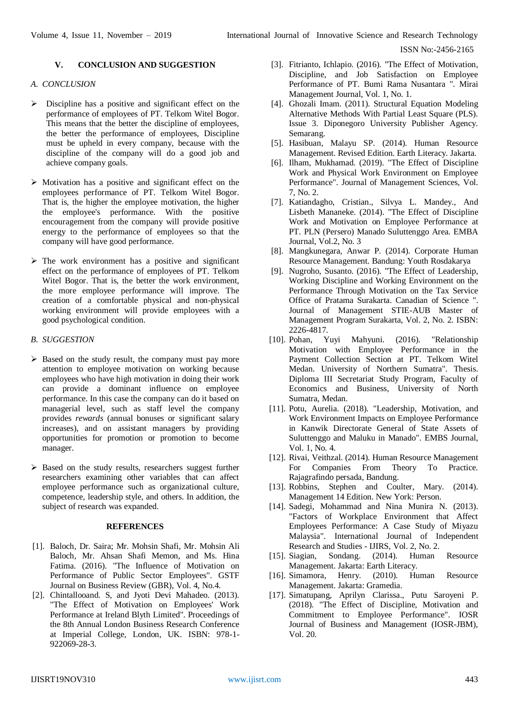## **V. CONCLUSION AND SUGGESTION**

## *A. CONCLUSION*

- Discipline has a positive and significant effect on the performance of employees of PT. Telkom Witel Bogor. This means that the better the discipline of employees, the better the performance of employees, Discipline must be upheld in every company, because with the discipline of the company will do a good job and achieve company goals.
- $\triangleright$  Motivation has a positive and significant effect on the employees performance of PT. Telkom Witel Bogor. That is, the higher the employee motivation, the higher the employee's performance. With the positive encouragement from the company will provide positive energy to the performance of employees so that the company will have good performance.
- $\triangleright$  The work environment has a positive and significant effect on the performance of employees of PT. Telkom Witel Bogor. That is, the better the work environment, the more employee performance will improve. The creation of a comfortable physical and non-physical working environment will provide employees with a good psychological condition.

## *B. SUGGESTION*

- $\triangleright$  Based on the study result, the company must pay more attention to employee motivation on working because employees who have high motivation in doing their work can provide a dominant influence on employee performance. In this case the company can do it based on managerial level, such as staff level the company provides *rewards* (annual bonuses or significant salary increases), and on assistant managers by providing opportunities for promotion or promotion to become manager.
- $\triangleright$  Based on the study results, researchers suggest further researchers examining other variables that can affect employee performance such as organizational culture, competence, leadership style, and others. In addition, the subject of research was expanded.

#### **REFERENCES**

- [1]. Baloch, Dr. Saira; Mr. Mohsin Shafi, Mr. Mohsin Ali Baloch, Mr. Ahsan Shafi Memon, and Ms. Hina Fatima. (2016). "The Influence of Motivation on Performance of Public Sector Employees". GSTF Journal on Business Review (GBR), Vol. 4, No.4.
- [2]. Chintallooand. S, and Jyoti Devi Mahadeo. (2013). "The Effect of Motivation on Employees' Work Performance at Ireland Blyth Limited". Proceedings of the 8th Annual London Business Research Conference at Imperial College, London, UK. ISBN: 978-1- 922069-28-3.
- [3]. Fitrianto, Ichlapio. (2016). "The Effect of Motivation, Discipline, and Job Satisfaction on Employee Performance of PT. Bumi Rama Nusantara ". Mirai Management Journal, Vol. 1, No. 1.
- [4]. Ghozali Imam. (2011). Structural Equation Modeling Alternative Methods With Partial Least Square (PLS). Issue 3. Diponegoro University Publisher Agency. Semarang.
- [5]. Hasibuan, Malayu SP. (2014). Human Resource Management. Revised Edition. Earth Literacy. Jakarta.
- [6]. Ilham, Mukhamad. (2019). "The Effect of Discipline Work and Physical Work Environment on Employee Performance". Journal of Management Sciences, Vol. 7, No. 2.
- [7]. Katiandagho, Cristian., Silvya L. Mandey., And Lisbeth Mananeke. (2014). "The Effect of Discipline Work and Motivation on Employee Performance at PT. PLN (Persero) Manado Suluttenggo Area. EMBA Journal, Vol.2, No. 3
- [8]. Mangkunegara, Anwar P. (2014). Corporate Human Resource Management. Bandung: Youth Rosdakarya
- [9]. Nugroho, Susanto. (2016). "The Effect of Leadership, Working Discipline and Working Environment on the Performance Through Motivation on the Tax Service Office of Pratama Surakarta. Canadian of Science ". Journal of Management STIE-AUB Master of Management Program Surakarta, Vol. 2, No. 2. ISBN: 2226-4817.
- [10]. Pohan, Yuyi Mahyuni. (2016). "Relationship Motivation with Employee Performance in the Payment Collection Section at PT. Telkom Witel Medan. University of Northern Sumatra". Thesis. Diploma III Secretariat Study Program, Faculty of Economics and Business, University of North Sumatra, Medan.
- [11]. Potu, Aurelia. (2018). "Leadership, Motivation, and Work Environment Impacts on Employee Performance in Kanwik Directorate General of State Assets of Suluttenggo and Maluku in Manado". EMBS Journal, Vol. 1, No. 4.
- [12]. Rivai, Veithzal. (2014). Human Resource Management For Companies From Theory To Practice. Rajagrafindo persada, Bandung.
- [13]. Robbins, Stephen and Coulter, Mary. (2014). Management 14 Edition. New York: Person.
- [14]. Sadegi, Mohammad and Nina Munira N. (2013). "Factors of Workplace Environment that Affect Employees Performance: A Case Study of Miyazu Malaysia". International Journal of Independent Research and Studies - IJIRS, Vol. 2, No. 2.
- [15]. Siagian, Sondang. (2014). Human Resource Management. Jakarta: Earth Literacy.
- [16]. Simamora, Henry. (2010). Human Resource Management. Jakarta: Gramedia.
- [17]. Simatupang, Aprilyn Clarissa., Putu Saroyeni P. (2018). "The Effect of Discipline, Motivation and Commitment to Employee Performance". IOSR Journal of Business and Management (IOSR-JBM), Vol. 20.